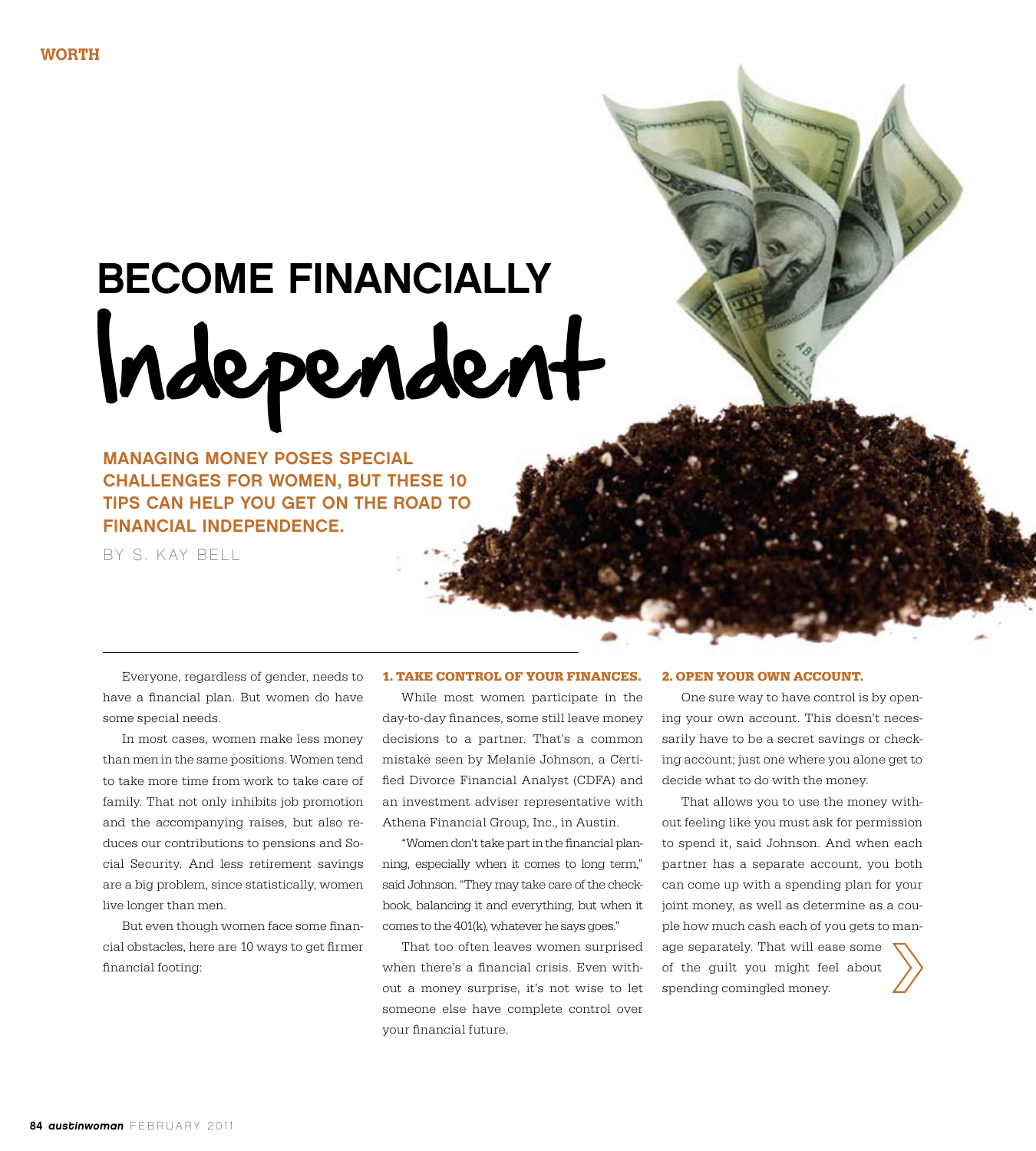# Independent Become Financially

Managing money poses special challenges for women, but these 10 tips can help you get on the road to financial independence.

b y S. Kay Bell

Everyone, regardless of gender, needs to have a financial plan. But women do have some special needs.

In most cases, women make less money than men in the same positions. Women tend to take more time from work to take care of family. That not only inhibits job promotion and the accompanying raises, but also reduces our contributions to pensions and Social Security. And less retirement savings are a big problem, since statistically, women live longer than men.

But even though women face some financial obstacles, here are 10 ways to get firmer financial footing:

#### **1. Take control of your finances.**

While most women participate in the day-to-day finances, some still leave money decisions to a partner. That's a common mistake seen by Melanie Johnson, a Certified Divorce Financial Analyst (CDFA) and an investment adviser representative with Athena Financial Group, Inc., in Austin.

"Women don't take part in the financial planning, especially when it comes to long term," said Johnson. "They may take care of the checkbook, balancing it and everything, but when it comes to the 401(k), whatever he says goes."

That too often leaves women surprised when there's a financial crisis. Even without a money surprise, it's not wise to let someone else have complete control over your financial future.

#### **2. open your own account.**

One sure way to have control is by opening your own account. This doesn't necessarily have to be a secret savings or checking account; just one where you alone get to decide what to do with the money.

That allows you to use the money without feeling like you must ask for permission to spend it, said Johnson. And when each partner has a separate account, you both can come up with a spending plan for your joint money, as well as determine as a couple how much cash each of you gets to manage separately. That will ease some of the guilt you might feel about spending comingled money.